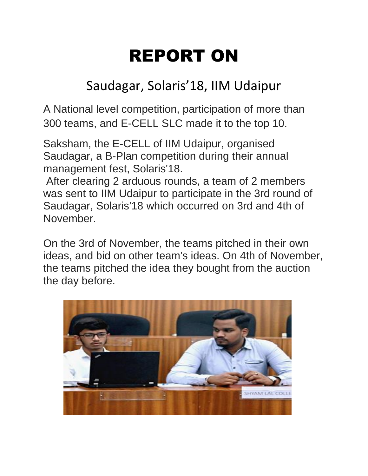## REPORT ON

## Saudagar, Solaris'18, IIM Udaipur

A National level competition, participation of more than 300 teams, and E-CELL SLC made it to the top 10.

Saksham, the E-CELL of IIM Udaipur, organised Saudagar, a B-Plan competition during their annual management fest, Solaris'18.

After clearing 2 arduous rounds, a team of 2 members was sent to IIM Udaipur to participate in the 3rd round of Saudagar, Solaris'18 which occurred on 3rd and 4th of November.

On the 3rd of November, the teams pitched in their own ideas, and bid on other team's ideas. On 4th of November, the teams pitched the idea they bought from the auction the day before.

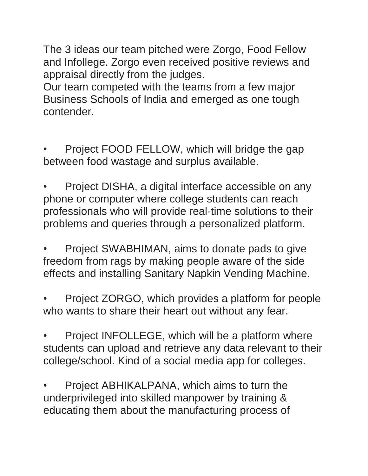The 3 ideas our team pitched were Zorgo, Food Fellow and Infollege. Zorgo even received positive reviews and appraisal directly from the judges.

Our team competed with the teams from a few major Business Schools of India and emerged as one tough contender.

• Project FOOD FELLOW, which will bridge the gap between food wastage and surplus available.

• Project DISHA, a digital interface accessible on any phone or computer where college students can reach professionals who will provide real-time solutions to their problems and queries through a personalized platform.

• Project SWABHIMAN, aims to donate pads to give freedom from rags by making people aware of the side effects and installing Sanitary Napkin Vending Machine.

• Project ZORGO, which provides a platform for people who wants to share their heart out without any fear.

Project INFOLLEGE, which will be a platform where students can upload and retrieve any data relevant to their college/school. Kind of a social media app for colleges.

• Project ABHIKALPANA, which aims to turn the underprivileged into skilled manpower by training & educating them about the manufacturing process of